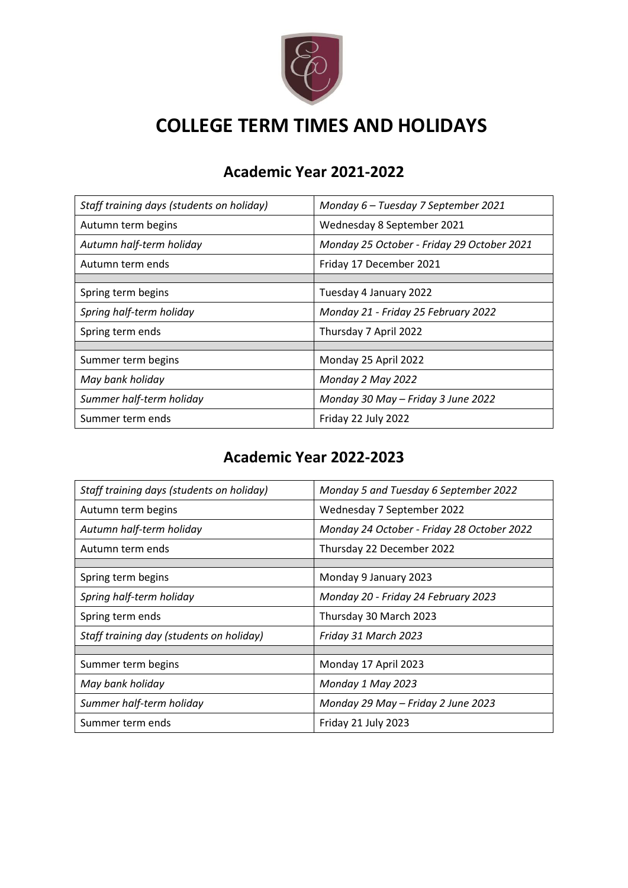

## **COLLEGE TERM TIMES AND HOLIDAYS**

| Staff training days (students on holiday) | Monday 6 - Tuesday 7 September 2021        |
|-------------------------------------------|--------------------------------------------|
| Autumn term begins                        | Wednesday 8 September 2021                 |
| Autumn half-term holiday                  | Monday 25 October - Friday 29 October 2021 |
| Autumn term ends                          | Friday 17 December 2021                    |
|                                           |                                            |
| Spring term begins                        | Tuesday 4 January 2022                     |
| Spring half-term holiday                  | Monday 21 - Friday 25 February 2022        |
| Spring term ends                          | Thursday 7 April 2022                      |
|                                           |                                            |
| Summer term begins                        | Monday 25 April 2022                       |
| May bank holiday                          | Monday 2 May 2022                          |
| Summer half-term holiday                  | Monday 30 May - Friday 3 June 2022         |
| Summer term ends                          | Friday 22 July 2022                        |

## **Academic Year 2022-2023**

| Staff training days (students on holiday) | Monday 5 and Tuesday 6 September 2022      |
|-------------------------------------------|--------------------------------------------|
| Autumn term begins                        | Wednesday 7 September 2022                 |
| Autumn half-term holiday                  | Monday 24 October - Friday 28 October 2022 |
| Autumn term ends                          | Thursday 22 December 2022                  |
|                                           |                                            |
| Spring term begins                        | Monday 9 January 2023                      |
| Spring half-term holiday                  | Monday 20 - Friday 24 February 2023        |
| Spring term ends                          | Thursday 30 March 2023                     |
| Staff training day (students on holiday)  | Friday 31 March 2023                       |
|                                           |                                            |
| Summer term begins                        | Monday 17 April 2023                       |
| May bank holiday                          | Monday 1 May 2023                          |
| Summer half-term holiday                  | Monday 29 May - Friday 2 June 2023         |
| Summer term ends                          | Friday 21 July 2023                        |